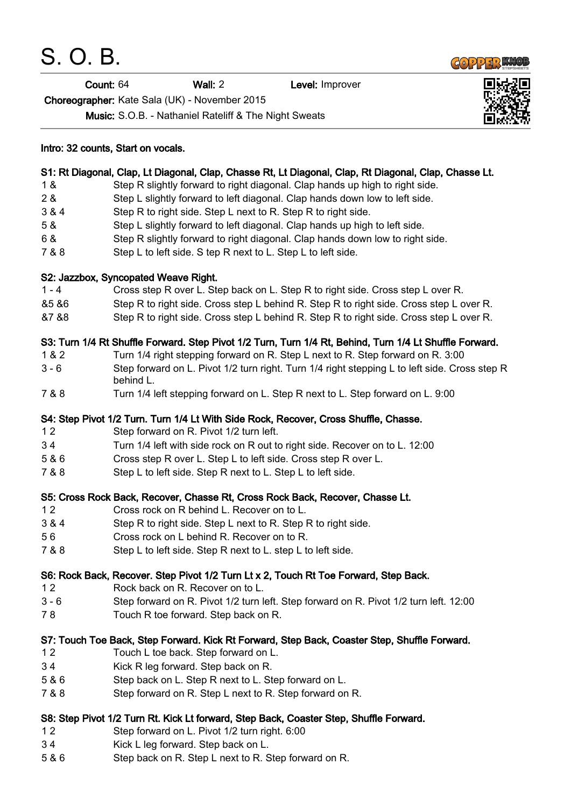S. O. B.

Count: 64 Wall: 2 Level: Improver

Choreographer: Kate Sala (UK) - November 2015

Music: S.O.B. - Nathaniel Rateliff & The Night Sweats

## Intro: 32 counts, Start on vocals. S1: Rt Diagonal, Clap, Lt Diagonal, Clap, Chasse Rt, Lt Diagonal, Clap, Rt Diagonal, Clap, Chasse Lt. 1 & Step R slightly forward to right diagonal. Clap hands up high to right side. 2 & Step L slightly forward to left diagonal. Clap hands down low to left side. 3 & 4 Step R to right side. Step L next to R. Step R to right side. 5 & Step L slightly forward to left diagonal. Clap hands up high to left side. 6 & Step R slightly forward to right diagonal. Clap hands down low to right side. 7 & 8 Step L to left side. S tep R next to L. Step L to left side. S2: Jazzbox, Syncopated Weave Right. 1 - 4 Cross step R over L. Step back on L. Step R to right side. Cross step L over R. &5 &6 Step R to right side. Cross step L behind R. Step R to right side. Cross step L over R. &7 &8 Step R to right side. Cross step L behind R. Step R to right side. Cross step L over R. S3: Turn 1/4 Rt Shuffle Forward. Step Pivot 1/2 Turn, Turn 1/4 Rt, Behind, Turn 1/4 Lt Shuffle Forward. 1 & 2 Turn 1/4 right stepping forward on R. Step L next to R. Step forward on R. 3:00 3 - 6 Step forward on L. Pivot 1/2 turn right. Turn 1/4 right stepping L to left side. Cross step R behind L. 7 & 8 Turn 1/4 left stepping forward on L. Step R next to L. Step forward on L. 9:00 S4: Step Pivot 1/2 Turn. Turn 1/4 Lt With Side Rock, Recover, Cross Shuffle, Chasse. 1 2 Step forward on R. Pivot 1/2 turn left. 3 4 Turn 1/4 left with side rock on R out to right side. Recover on to L. 12:00 5 & 6 Cross step R over L. Step L to left side. Cross step R over L. 7 & 8 Step L to left side. Step R next to L. Step L to left side. S5: Cross Rock Back, Recover, Chasse Rt, Cross Rock Back, Recover, Chasse Lt. 1 2 Cross rock on R behind L. Recover on to L. 3 & 4 Step R to right side. Step L next to R. Step R to right side. 5 6 Cross rock on L behind R. Recover on to R. 7 & 8 Step L to left side. Step R next to L. step L to left side. S6: Rock Back, Recover. Step Pivot 1/2 Turn Lt x 2, Touch Rt Toe Forward, Step Back. 1 2 Rock back on R. Recover on to L. 3 - 6 Step forward on R. Pivot 1/2 turn left. Step forward on R. Pivot 1/2 turn left. 12:00 7 8 Touch R toe forward. Step back on R.

- S7: Touch Toe Back, Step Forward. Kick Rt Forward, Step Back, Coaster Step, Shuffle Forward.
- 1 2 Touch L toe back. Step forward on L.
- 3 4 Kick R leg forward. Step back on R.
- 5 & 6 Step back on L. Step R next to L. Step forward on L.
- 7 & 8 Step forward on R. Step L next to R. Step forward on R.

## S8: Step Pivot 1/2 Turn Rt. Kick Lt forward, Step Back, Coaster Step, Shuffle Forward.

- 1 2 Step forward on L. Pivot 1/2 turn right. 6:00
- 3 4 Kick L leg forward. Step back on L.
- 5 & 6 Step back on R. Step L next to R. Step forward on R.